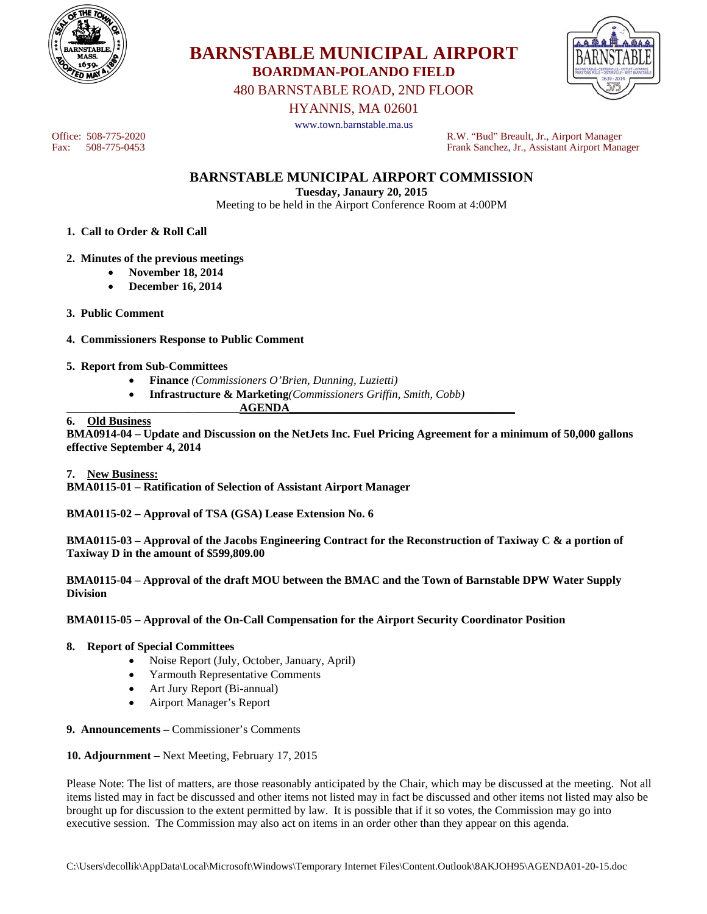



480 BARNSTABLE ROAD, 2ND FLOOR

HYANNIS, MA 02601

www.town.barnstable.ma.us

Office: 508-775-2020<br>
Fax: 508-775-0453<br>
Frank Sanchez, Jr., Assistant Airport Manager Frank Sanchez, Jr., Assistant Airport Manager

**BARNSTABLE MUNICIPAL AIRPORT COMMISSION** 

**Tuesday, Janaury 20, 2015** 

Meeting to be held in the Airport Conference Room at 4:00PM

- **1. Call to Order & Roll Call**
- **2. Minutes of the previous meetings** 
	- **November 18, 2014**
	- **December 16, 2014**
- **3. Public Comment**
- **4. Commissioners Response to Public Comment**
- **5. Report from Sub-Committees** 
	- **Finance** *(Commissioners O'Brien, Dunning, Luzietti)*
- **Infrastructure & Marketing***(Commissioners Griffin, Smith, Cobb)*  **\_\_\_\_\_\_\_\_\_\_\_\_\_\_\_\_\_\_\_\_\_\_\_\_\_\_\_\_\_\_AGENDA\_\_\_\_\_\_\_\_\_\_\_\_\_\_\_\_\_\_\_\_\_\_\_\_\_\_\_\_\_\_\_\_\_\_\_\_\_\_\_**

#### **6. Old Business**

**BMA0914-04 – Update and Discussion on the NetJets Inc. Fuel Pricing Agreement for a minimum of 50,000 gallons effective September 4, 2014** 

**7. New Business: BMA0115-01 – Ratification of Selection of Assistant Airport Manager** 

**BMA0115-02 – Approval of TSA (GSA) Lease Extension No. 6** 

**BMA0115-03 – Approval of the Jacobs Engineering Contract for the Reconstruction of Taxiway C & a portion of Taxiway D in the amount of \$599,809.00** 

**BMA0115-04 – Approval of the draft MOU between the BMAC and the Town of Barnstable DPW Water Supply Division** 

**BMA0115-05 – Approval of the On-Call Compensation for the Airport Security Coordinator Position** 

#### **8. Report of Special Committees**

- Noise Report (July, October, January, April)
- Yarmouth Representative Comments
- Art Jury Report (Bi-annual)
- Airport Manager's Report
- **9. Announcements** Commissioner's Comments
- **10. Adjournment** Next Meeting, February 17, 2015

Please Note: The list of matters, are those reasonably anticipated by the Chair, which may be discussed at the meeting. Not all items listed may in fact be discussed and other items not listed may in fact be discussed and other items not listed may also be brought up for discussion to the extent permitted by law. It is possible that if it so votes, the Commission may go into executive session. The Commission may also act on items in an order other than they appear on this agenda.